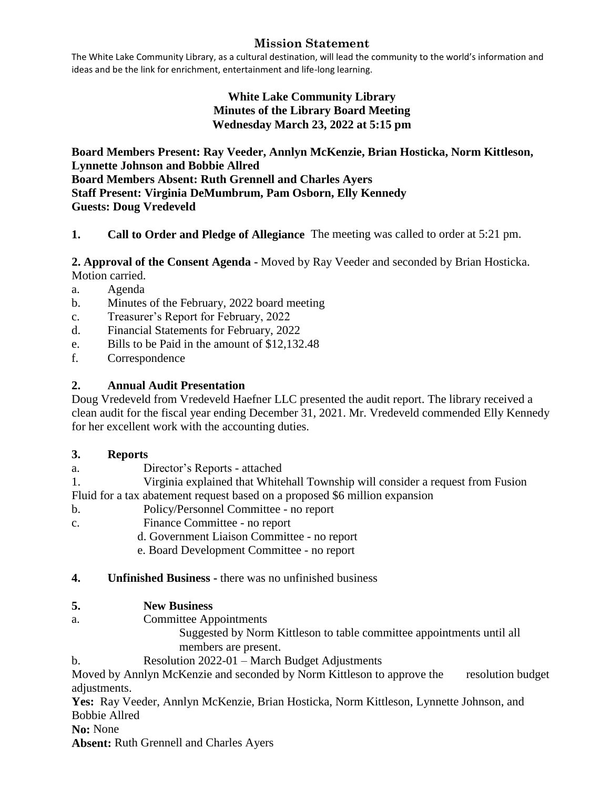# **Mission Statement**

The White Lake Community Library, as a cultural destination, will lead the community to the world's information and ideas and be the link for enrichment, entertainment and life-long learning.

# **White Lake Community Library Minutes of the Library Board Meeting Wednesday March 23, 2022 at 5:15 pm**

**Board Members Present: Ray Veeder, Annlyn McKenzie, Brian Hosticka, Norm Kittleson, Lynnette Johnson and Bobbie Allred Board Members Absent: Ruth Grennell and Charles Ayers Staff Present: Virginia DeMumbrum, Pam Osborn, Elly Kennedy Guests: Doug Vredeveld**

# **1. Call to Order and Pledge of Allegiance** The meeting was called to order at 5:21 pm.

#### **2. Approval of the Consent Agenda -** Moved by Ray Veeder and seconded by Brian Hosticka. Motion carried.

- a. Agenda
- b. Minutes of the February, 2022 board meeting
- c. Treasurer's Report for February, 2022
- d. Financial Statements for February, 2022
- e. Bills to be Paid in the amount of \$12,132.48
- f. Correspondence

# **2. Annual Audit Presentation**

Doug Vredeveld from Vredeveld Haefner LLC presented the audit report. The library received a clean audit for the fiscal year ending December 31, 2021. Mr. Vredeveld commended Elly Kennedy for her excellent work with the accounting duties.

### **3. Reports**

a. Director's Reports - attached

1. Virginia explained that Whitehall Township will consider a request from Fusion Fluid for a tax abatement request based on a proposed \$6 million expansion

- b. Policy/Personnel Committee no report
- c. Finance Committee no report
	- d. Government Liaison Committee no report
	- e. Board Development Committee no report

### **4. Unfinished Business -** there was no unfinished business

### **5. New Business**

a. Committee Appointments

 Suggested by Norm Kittleson to table committee appointments until all members are present.

b. Resolution 2022-01 – March Budget Adjustments

Moved by Annlyn McKenzie and seconded by Norm Kittleson to approve the resolution budget adjustments.

**Yes:** Ray Veeder, Annlyn McKenzie, Brian Hosticka, Norm Kittleson, Lynnette Johnson, and Bobbie Allred

**No:** None

**Absent:** Ruth Grennell and Charles Ayers